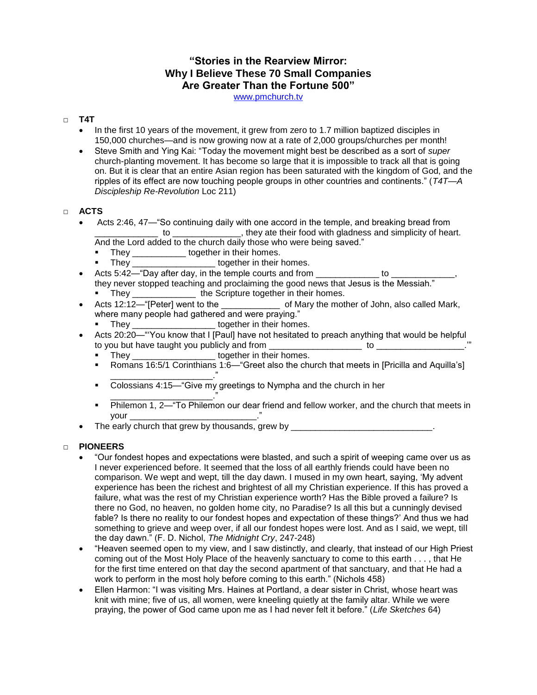## **"Stories in the Rearview Mirror: Why I Believe These 70 Small Companies Are Greater Than the Fortune 500"**

[www.pmchurch.tv](http://www.pmchurch.tv/)

### □ **T4T**

- In the first 10 years of the movement, it grew from zero to 1.7 million baptized disciples in 150,000 churches—and is now growing now at a rate of 2,000 groups/churches per month!
- Steve Smith and Ying Kai: "Today the movement might best be described as a sort of *super*  church-planting movement. It has become so large that it is impossible to track all that is going on. But it is clear that an entire Asian region has been saturated with the kingdom of God, and the ripples of its effect are now touching people groups in other countries and continents." (*T4T—A Discipleship Re-Revolution* Loc 211)

## □ **ACTS**

- Acts 2:46, 47—"So continuing daily with one accord in the temple, and breaking bread from \_\_\_\_\_\_\_\_\_\_\_\_\_ to \_\_\_\_\_\_\_\_\_\_\_\_\_\_, they ate their food with gladness and simplicity of heart.
	- And the Lord added to the church daily those who were being saved."
	- They \_\_\_\_\_\_\_\_\_\_\_\_ together in their homes.
	- They \_\_\_\_\_\_\_\_\_\_\_\_\_\_\_\_\_\_\_\_\_\_\_together in their homes.
- Acts 5:42—"Day after day, in the temple courts and from \_\_\_\_\_\_\_\_\_\_\_\_\_ to \_\_\_\_\_\_\_\_\_\_\_\_\_, they never stopped teaching and proclaiming the good news that Jesus is the Messiah." They \_\_\_\_\_\_\_\_\_\_\_\_\_\_\_\_ the Scripture together in their homes.
- Acts 12:12—"[Peter] went to the \_\_\_\_\_\_\_\_\_\_\_\_ of Mary the mother of John, also called Mark, where many people had gathered and were praying."
	- They together in their homes.
- Acts 20:20—"'You know that I [Paul] have not hesitated to preach anything that would be helpful to you but have taught you publicly and from \_\_\_\_\_\_\_\_\_\_\_\_\_\_\_\_\_\_\_ to \_\_\_\_\_\_\_\_\_\_\_\_\_\_\_\_\_\_.'"
	- They \_\_\_\_\_\_\_\_\_\_\_\_\_\_\_\_\_\_\_\_ together in their homes.
	- Romans 16:5/1 Corinthians 1:6—"Greet also the church that meets in [Pricilla and Aquilla's] \_\_\_\_\_\_\_\_\_\_\_\_\_\_\_\_\_\_\_\_\_."
	- Colossians 4:15—"Give my greetings to Nympha and the church in her
	- \_\_\_\_\_\_\_\_\_\_\_\_\_\_\_\_\_\_\_\_\_." Philemon 1, 2—"To Philemon our dear friend and fellow worker, and the church that meets in your \_\_\_\_\_\_\_\_\_\_\_\_\_\_\_\_\_\_\_\_\_\_\_\_\_\_."
- The early church that grew by thousands, grew by \_\_\_\_\_\_\_\_\_\_\_\_\_\_\_\_\_\_\_\_\_\_\_\_\_\_\_\_\_\_\_

### □ **PIONEERS**

- "Our fondest hopes and expectations were blasted, and such a spirit of weeping came over us as I never experienced before. It seemed that the loss of all earthly friends could have been no comparison. We wept and wept, till the day dawn. I mused in my own heart, saying, 'My advent experience has been the richest and brightest of all my Christian experience. If this has proved a failure, what was the rest of my Christian experience worth? Has the Bible proved a failure? Is there no God, no heaven, no golden home city, no Paradise? Is all this but a cunningly devised fable? Is there no reality to our fondest hopes and expectation of these things?' And thus we had something to grieve and weep over, if all our fondest hopes were lost. And as I said, we wept, till the day dawn." (F. D. Nichol, *The Midnight Cry*, 247-248)
- "Heaven seemed open to my view, and I saw distinctly, and clearly, that instead of our High Priest coming out of the Most Holy Place of the heavenly sanctuary to come to this earth . . . , that He for the first time entered on that day the second apartment of that sanctuary, and that He had a work to perform in the most holy before coming to this earth." (Nichols 458)
- Ellen Harmon: "I was visiting Mrs. Haines at Portland, a dear sister in Christ, whose heart was knit with mine; five of us, all women, were kneeling quietly at the family altar. While we were praying, the power of God came upon me as I had never felt it before." (*Life Sketches* 64)